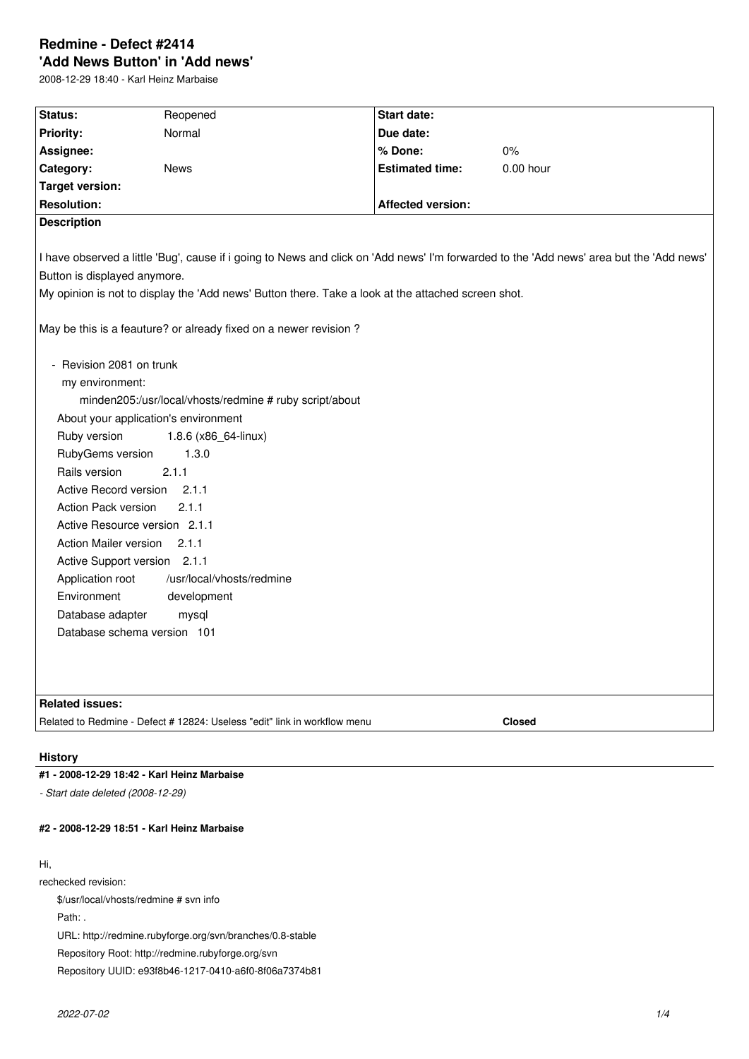# **Redmine - Defect #2414 'Add News Button' in 'Add news'**

2008-12-29 18:40 - Karl Heinz Marbaise

| Status:                                                                                                                                  | Reopened                                                                                           | Start date:              |             |  |  |  |
|------------------------------------------------------------------------------------------------------------------------------------------|----------------------------------------------------------------------------------------------------|--------------------------|-------------|--|--|--|
| <b>Priority:</b>                                                                                                                         | Normal                                                                                             | Due date:                |             |  |  |  |
| Assignee:                                                                                                                                |                                                                                                    | % Done:                  | $0\%$       |  |  |  |
| Category:                                                                                                                                | <b>News</b>                                                                                        | <b>Estimated time:</b>   | $0.00$ hour |  |  |  |
| <b>Target version:</b>                                                                                                                   |                                                                                                    |                          |             |  |  |  |
| <b>Resolution:</b>                                                                                                                       |                                                                                                    | <b>Affected version:</b> |             |  |  |  |
| <b>Description</b>                                                                                                                       |                                                                                                    |                          |             |  |  |  |
|                                                                                                                                          |                                                                                                    |                          |             |  |  |  |
| I have observed a little 'Bug', cause if i going to News and click on 'Add news' I'm forwarded to the 'Add news' area but the 'Add news' |                                                                                                    |                          |             |  |  |  |
| Button is displayed anymore.                                                                                                             |                                                                                                    |                          |             |  |  |  |
|                                                                                                                                          | My opinion is not to display the 'Add news' Button there. Take a look at the attached screen shot. |                          |             |  |  |  |
|                                                                                                                                          |                                                                                                    |                          |             |  |  |  |
| May be this is a feauture? or already fixed on a newer revision?                                                                         |                                                                                                    |                          |             |  |  |  |
| - Revision 2081 on trunk                                                                                                                 |                                                                                                    |                          |             |  |  |  |
| my environment:                                                                                                                          |                                                                                                    |                          |             |  |  |  |
| minden205:/usr/local/vhosts/redmine # ruby script/about                                                                                  |                                                                                                    |                          |             |  |  |  |
| About your application's environment                                                                                                     |                                                                                                    |                          |             |  |  |  |
| Ruby version<br>1.8.6 (x86_64-linux)                                                                                                     |                                                                                                    |                          |             |  |  |  |
| RubyGems version<br>1.3.0                                                                                                                |                                                                                                    |                          |             |  |  |  |
| Rails version<br>2.1.1                                                                                                                   |                                                                                                    |                          |             |  |  |  |
| Active Record version<br>2.1.1                                                                                                           |                                                                                                    |                          |             |  |  |  |
| Action Pack version<br>2.1.1                                                                                                             |                                                                                                    |                          |             |  |  |  |
| Active Resource version 2.1.1                                                                                                            |                                                                                                    |                          |             |  |  |  |
| Action Mailer version<br>2.1.1                                                                                                           |                                                                                                    |                          |             |  |  |  |
| Active Support version 2.1.1                                                                                                             |                                                                                                    |                          |             |  |  |  |
| Application root<br>/usr/local/vhosts/redmine                                                                                            |                                                                                                    |                          |             |  |  |  |
| Environment<br>development                                                                                                               |                                                                                                    |                          |             |  |  |  |
| Database adapter<br>mysql                                                                                                                |                                                                                                    |                          |             |  |  |  |
| Database schema version 101                                                                                                              |                                                                                                    |                          |             |  |  |  |
|                                                                                                                                          |                                                                                                    |                          |             |  |  |  |
|                                                                                                                                          |                                                                                                    |                          |             |  |  |  |
|                                                                                                                                          |                                                                                                    |                          |             |  |  |  |
| <b>Related issues:</b>                                                                                                                   |                                                                                                    |                          |             |  |  |  |
| Related to Redmine - Defect # 12824: Useless "edit" link in workflow menu                                                                | Closed                                                                                             |                          |             |  |  |  |
|                                                                                                                                          |                                                                                                    |                          |             |  |  |  |

#### **History**

# **#1 - 2008-12-29 18:42 - Karl Heinz Marbaise**

*- Start date deleted (2008-12-29)*

### **#2 - 2008-12-29 18:51 - Karl Heinz Marbaise**

# Hi,

rechecked revision:

\$/usr/local/vhosts/redmine # svn info Path: . URL: http://redmine.rubyforge.org/svn/branches/0.8-stable Repository Root: http://redmine.rubyforge.org/svn Repository UUID: e93f8b46-1217-0410-a6f0-8f06a7374b81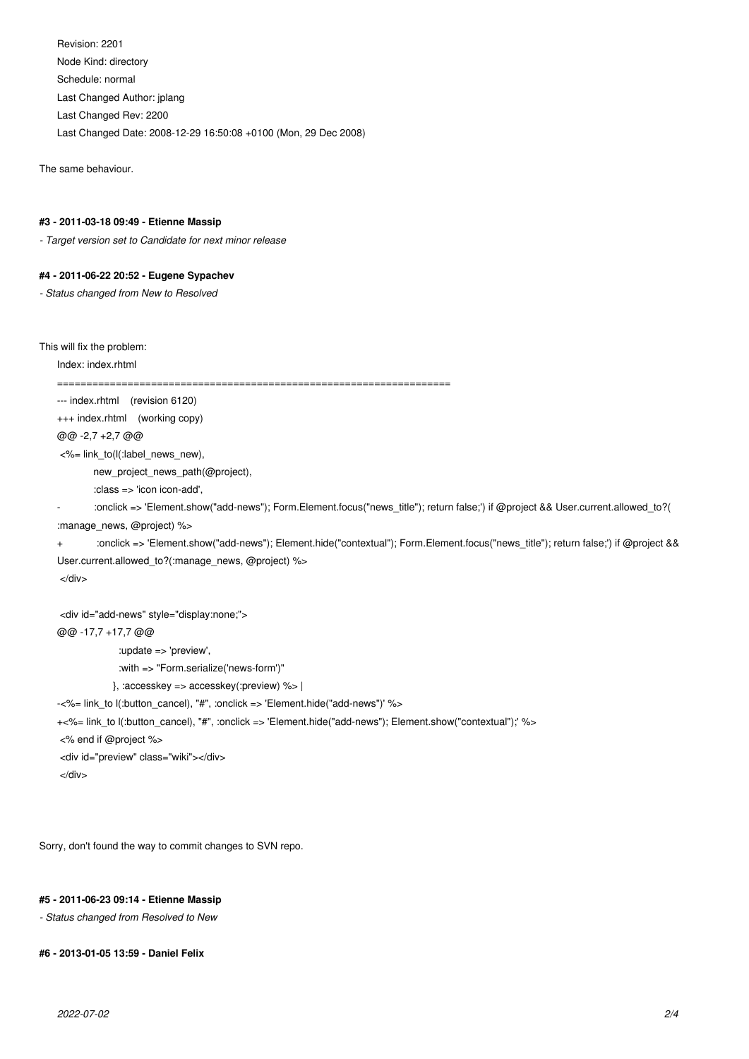Revision: 2201 Node Kind: directory Schedule: normal Last Changed Author: jplang Last Changed Rev: 2200 Last Changed Date: 2008-12-29 16:50:08 +0100 (Mon, 29 Dec 2008)

The same behaviour.

#### **#3 - 2011-03-18 09:49 - Etienne Massip**

*- Target version set to Candidate for next minor release*

#### **#4 - 2011-06-22 20:52 - Eugene Sypachev**

*- Status changed from New to Resolved*

This will fix the problem:

Index: index.rhtml

===================================================================

--- index.rhtml (revision 6120)

+++ index.rhtml (working copy)

@@ -2,7 +2,7 @@

<%= link\_to(l(:label\_news\_new),

new\_project\_news\_path(@project),

:class => 'icon icon-add',

- :onclick => 'Element.show("add-news"); Form.Element.focus("news\_title"); return false;') if @project && User.current.allowed\_to?(

:manage\_news, @project) %>

```
+ :onclick => 'Element.show("add-news"); Element.hide("contextual"); Form.Element.focus("news_title"); return false;') if @project &&
User.current.allowed_to?(:manage_news, @project) %>
```
</div>

```
<div id="add-news" style="display:none;">
@@ -17,7 +17,7 @@
              :update => 'preview',
              :with => "Form.serialize('news-form')" 
             }, :accesskey => accesskey(:preview) %> |
-<%= link_to l(:button_cancel), "#", :onclick => 'Element.hide("add-news")' %>
+<%= link_to l(:button_cancel), "#", :onclick => 'Element.hide("add-news"); Element.show("contextual");' %>
<% end if @project %>
<div id="preview" class="wiki"></div>
```
</div>

Sorry, don't found the way to commit changes to SVN repo.

#### **#5 - 2011-06-23 09:14 - Etienne Massip**

*- Status changed from Resolved to New*

```
#6 - 2013-01-05 13:59 - Daniel Felix
```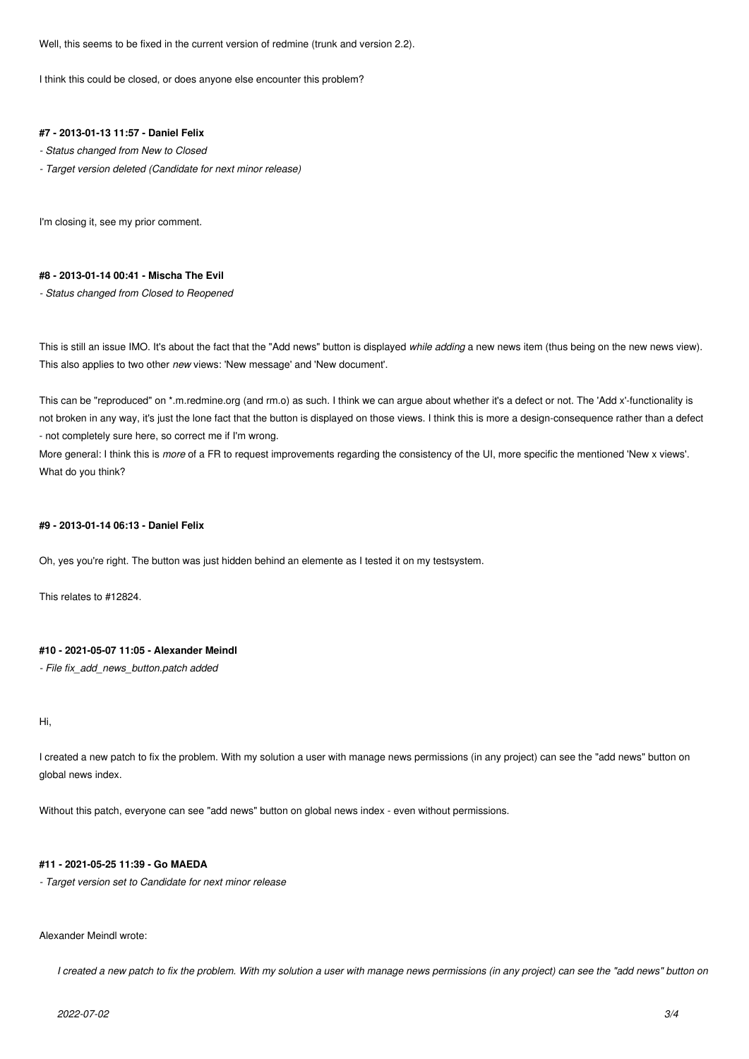Well, this seems to be fixed in the current version of redmine (trunk and version 2.2).

I think this could be closed, or does anyone else encounter this problem?

# **#7 - 2013-01-13 11:57 - Daniel Felix**

- *Status changed from New to Closed*
- *Target version deleted (Candidate for next minor release)*

I'm closing it, see my prior comment.

#### **#8 - 2013-01-14 00:41 - Mischa The Evil**

*- Status changed from Closed to Reopened*

This is still an issue IMO. It's about the fact that the "Add news" button is displayed *while adding* a new news item (thus being on the new news view). This also applies to two other *new* views: 'New message' and 'New document'.

This can be "reproduced" on \*.m.redmine.org (and rm.o) as such. I think we can argue about whether it's a defect or not. The 'Add x'-functionality is not broken in any way, it's just the lone fact that the button is displayed on those views. I think this is more a design-consequence rather than a defect - not completely sure here, so correct me if I'm wrong.

More general: I think this is *more* of a FR to request improvements regarding the consistency of the UI, more specific the mentioned 'New x views'. What do you think?

#### **#9 - 2013-01-14 06:13 - Daniel Felix**

Oh, yes you're right. The button was just hidden behind an elemente as I tested it on my testsystem.

This relates to #12824.

#### **#10 - 2021-05-07 11:05 - Alexander Meindl**

#### *- File fix\_add\_news\_button.patch added*

# Hi,

I created a new patch to fix the problem. With my solution a user with manage news permissions (in any project) can see the "add news" button on global news index.

Without this patch, everyone can see "add news" button on global news index - even without permissions.

#### **#11 - 2021-05-25 11:39 - Go MAEDA**

*- Target version set to Candidate for next minor release*

#### Alexander Meindl wrote:

*I created a new patch to fix the problem. With my solution a user with manage news permissions (in any project) can see the "add news" button on*